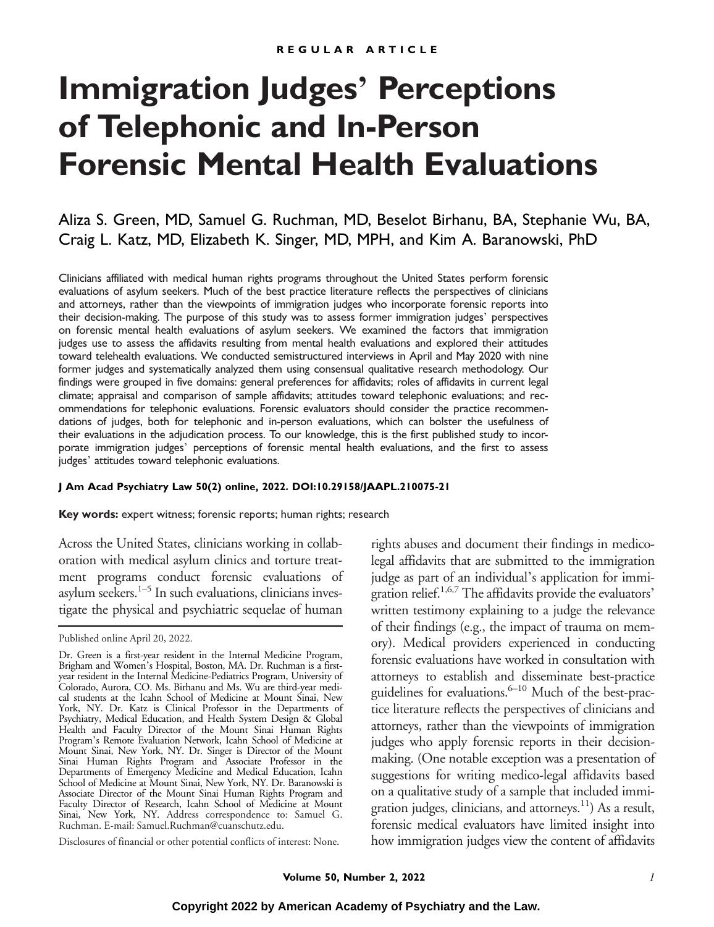# **Immigration Judges**' **Perceptions of Telephonic and In-Person Forensic Mental Health Evaluations**

Aliza S. Green, MD, Samuel G. Ruchman, MD, Beselot Birhanu, BA, Stephanie Wu, BA, Craig L. Katz, MD, Elizabeth K. Singer, MD, MPH, and Kim A. Baranowski, PhD

Clinicians affiliated with medical human rights programs throughout the United States perform forensic evaluations of asylum seekers. Much of the best practice literature reflects the perspectives of clinicians and attorneys, rather than the viewpoints of immigration judges who incorporate forensic reports into their decision-making. The purpose of this study was to assess former immigration judges' perspectives on forensic mental health evaluations of asylum seekers. We examined the factors that immigration judges use to assess the affidavits resulting from mental health evaluations and explored their attitudes toward telehealth evaluations. We conducted semistructured interviews in April and May 2020 with nine former judges and systematically analyzed them using consensual qualitative research methodology. Our findings were grouped in five domains: general preferences for affidavits; roles of affidavits in current legal climate; appraisal and comparison of sample affidavits; attitudes toward telephonic evaluations; and recommendations for telephonic evaluations. Forensic evaluators should consider the practice recommendations of judges, both for telephonic and in-person evaluations, which can bolster the usefulness of their evaluations in the adjudication process. To our knowledge, this is the first published study to incorporate immigration judges' perceptions of forensic mental health evaluations, and the first to assess judges' attitudes toward telephonic evaluations.

#### **J Am Acad Psychiatry Law 50(2) online, 2022. DOI:10.29158/JAAPL.210075-21**

**Key words:** expert witness; forensic reports; human rights; research

Across the United States, clinicians working in collaboration with medical asylum clinics and torture treatment programs conduct forensic evaluations of asylum seekers.<sup>1–5</sup> In such evaluations, clinicians investigate the physical and psychiatric sequelae of human

Disclosures of financial or other potential conflicts of interest: None.

rights abuses and document their findings in medicolegal affidavits that are submitted to the immigration judge as part of an individual's application for immigration relief.<sup>1,6,7</sup> The affidavits provide the evaluators' written testimony explaining to a judge the relevance of their findings (e.g., the impact of trauma on memory). Medical providers experienced in conducting forensic evaluations have worked in consultation with attorneys to establish and disseminate best-practice guidelines for evaluations.<sup>6–10</sup> Much of the best-practice literature reflects the perspectives of clinicians and attorneys, rather than the viewpoints of immigration judges who apply forensic reports in their decisionmaking. (One notable exception was a presentation of suggestions for writing medico-legal affidavits based on a qualitative study of a sample that included immigration judges, clinicians, and attorneys.<sup>11</sup>) As a result, forensic medical evaluators have limited insight into how immigration judges view the content of affidavits

Published online April 20, 2022.

Dr. Green is a first-year resident in the Internal Medicine Program, Brigham and Women's Hospital, Boston, MA. Dr. Ruchman is a firstyear resident in the Internal Medicine-Pediatrics Program, University of Colorado, Aurora, CO. Ms. Birhanu and Ms. Wu are third-year medical students at the Icahn School of Medicine at Mount Sinai, New York, NY. Dr. Katz is Clinical Professor in the Departments of Psychiatry, Medical Education, and Health System Design & Global Health and Faculty Director of the Mount Sinai Human Rights Program's Remote Evaluation Network, Icahn School of Medicine at Mount Sinai, New York, NY. Dr. Singer is Director of the Mount Sinai Human Rights Program and Associate Professor in the Departments of Emergency Medicine and Medical Education, Icahn School of Medicine at Mount Sinai, New York, NY. Dr. Baranowski is Associate Director of the Mount Sinai Human Rights Program and Faculty Director of Research, Icahn School of Medicine at Mount Sinai, New York, NY. Address correspondence to: Samuel G. Ruchman. E-mail: [Samuel.Ruchman@cuanschutz.edu.](mailto:Samuel.Ruchman@cuanschutz.edu)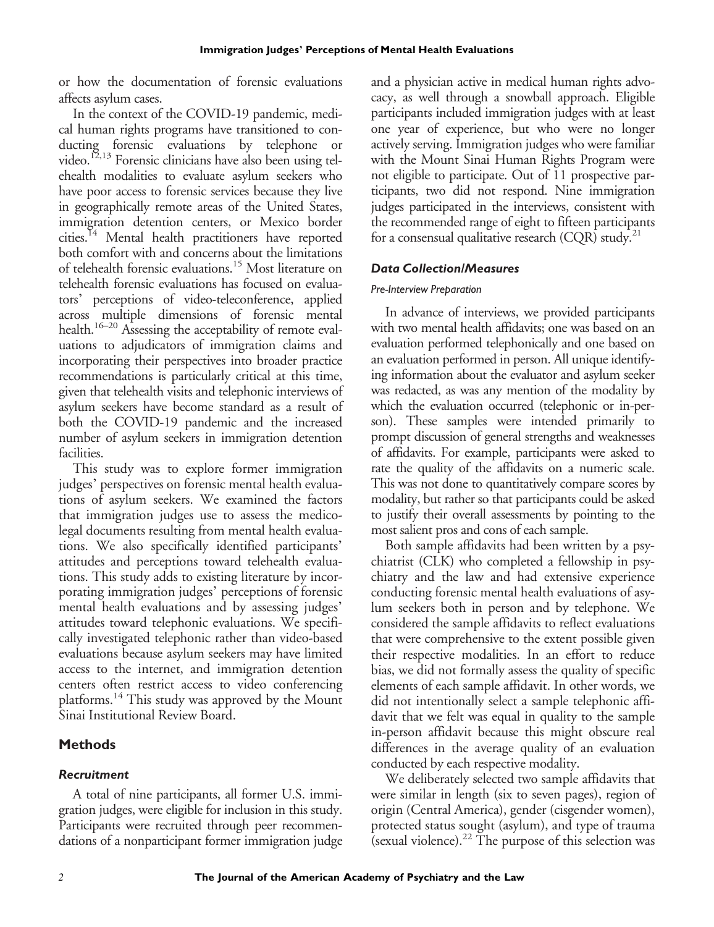or how the documentation of forensic evaluations affects asylum cases.

In the context of the COVID-19 pandemic, medical human rights programs have transitioned to conducting forensic evaluations by telephone or video.<sup>12,13</sup> Forensic clinicians have also been using telehealth modalities to evaluate asylum seekers who have poor access to forensic services because they live in geographically remote areas of the United States, immigration detention centers, or Mexico border cities.<sup>14</sup> Mental health practitioners have reported both comfort with and concerns about the limitations of telehealth forensic evaluations.15 Most literature on telehealth forensic evaluations has focused on evaluators' perceptions of video-teleconference, applied across multiple dimensions of forensic mental health.<sup>16–20</sup> Assessing the acceptability of remote evaluations to adjudicators of immigration claims and incorporating their perspectives into broader practice recommendations is particularly critical at this time, given that telehealth visits and telephonic interviews of asylum seekers have become standard as a result of both the COVID-19 pandemic and the increased number of asylum seekers in immigration detention facilities.

This study was to explore former immigration judges' perspectives on forensic mental health evaluations of asylum seekers. We examined the factors that immigration judges use to assess the medicolegal documents resulting from mental health evaluations. We also specifically identified participants' attitudes and perceptions toward telehealth evaluations. This study adds to existing literature by incorporating immigration judges' perceptions of forensic mental health evaluations and by assessing judges' attitudes toward telephonic evaluations. We specifically investigated telephonic rather than video-based evaluations because asylum seekers may have limited access to the internet, and immigration detention centers often restrict access to video conferencing platforms.<sup>14</sup> This study was approved by the Mount Sinai Institutional Review Board.

# **Methods**

## *Recruitment*

A total of nine participants, all former U.S. immigration judges, were eligible for inclusion in this study. Participants were recruited through peer recommendations of a nonparticipant former immigration judge and a physician active in medical human rights advocacy, as well through a snowball approach. Eligible participants included immigration judges with at least one year of experience, but who were no longer actively serving. Immigration judges who were familiar with the Mount Sinai Human Rights Program were not eligible to participate. Out of 11 prospective participants, two did not respond. Nine immigration judges participated in the interviews, consistent with the recommended range of eight to fifteen participants for a consensual qualitative research  $(CQR)$  study.<sup>21</sup>

#### *Data Collection/Measures*

#### *Pre-Interview Preparation*

In advance of interviews, we provided participants with two mental health affidavits; one was based on an evaluation performed telephonically and one based on an evaluation performed in person. All unique identifying information about the evaluator and asylum seeker was redacted, as was any mention of the modality by which the evaluation occurred (telephonic or in-person). These samples were intended primarily to prompt discussion of general strengths and weaknesses of affidavits. For example, participants were asked to rate the quality of the affidavits on a numeric scale. This was not done to quantitatively compare scores by modality, but rather so that participants could be asked to justify their overall assessments by pointing to the most salient pros and cons of each sample.

Both sample affidavits had been written by a psychiatrist (CLK) who completed a fellowship in psychiatry and the law and had extensive experience conducting forensic mental health evaluations of asylum seekers both in person and by telephone. We considered the sample affidavits to reflect evaluations that were comprehensive to the extent possible given their respective modalities. In an effort to reduce bias, we did not formally assess the quality of specific elements of each sample affidavit. In other words, we did not intentionally select a sample telephonic affidavit that we felt was equal in quality to the sample in-person affidavit because this might obscure real differences in the average quality of an evaluation conducted by each respective modality.

We deliberately selected two sample affidavits that were similar in length (six to seven pages), region of origin (Central America), gender (cisgender women), protected status sought (asylum), and type of trauma (sexual violence). $^{22}$  The purpose of this selection was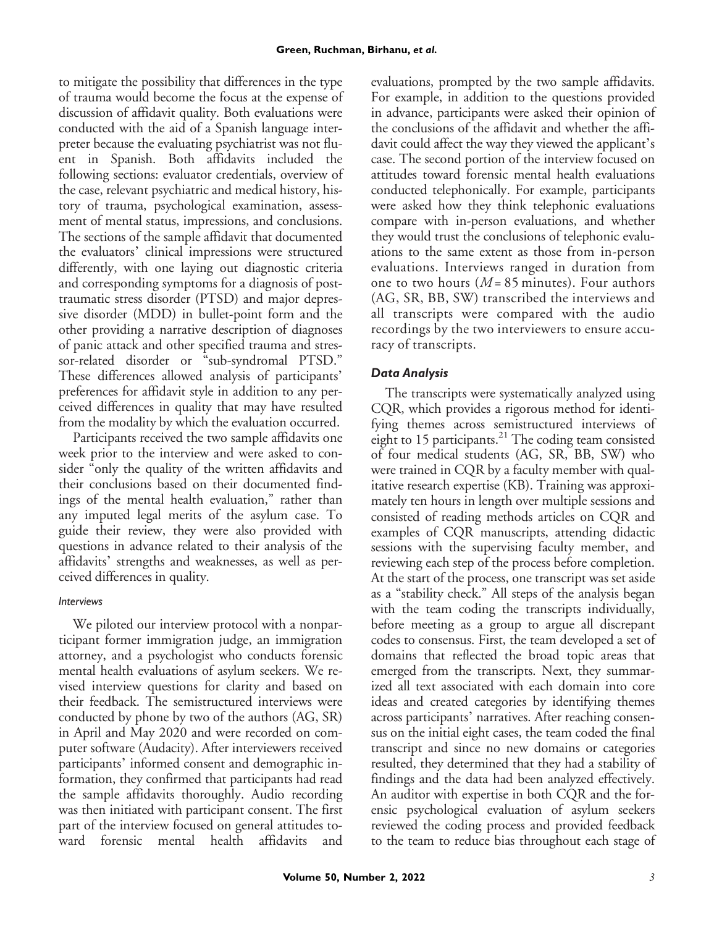to mitigate the possibility that differences in the type of trauma would become the focus at the expense of discussion of affidavit quality. Both evaluations were conducted with the aid of a Spanish language interpreter because the evaluating psychiatrist was not fluent in Spanish. Both affidavits included the following sections: evaluator credentials, overview of the case, relevant psychiatric and medical history, history of trauma, psychological examination, assessment of mental status, impressions, and conclusions. The sections of the sample affidavit that documented the evaluators' clinical impressions were structured differently, with one laying out diagnostic criteria and corresponding symptoms for a diagnosis of posttraumatic stress disorder (PTSD) and major depressive disorder (MDD) in bullet-point form and the other providing a narrative description of diagnoses of panic attack and other specified trauma and stressor-related disorder or "sub-syndromal PTSD." These differences allowed analysis of participants' preferences for affidavit style in addition to any perceived differences in quality that may have resulted from the modality by which the evaluation occurred.

Participants received the two sample affidavits one week prior to the interview and were asked to consider "only the quality of the written affidavits and their conclusions based on their documented findings of the mental health evaluation," rather than any imputed legal merits of the asylum case. To guide their review, they were also provided with questions in advance related to their analysis of the affidavits' strengths and weaknesses, as well as perceived differences in quality.

# *Interviews*

We piloted our interview protocol with a nonparticipant former immigration judge, an immigration attorney, and a psychologist who conducts forensic mental health evaluations of asylum seekers. We revised interview questions for clarity and based on their feedback. The semistructured interviews were conducted by phone by two of the authors (AG, SR) in April and May 2020 and were recorded on computer software (Audacity). After interviewers received participants' informed consent and demographic information, they confirmed that participants had read the sample affidavits thoroughly. Audio recording was then initiated with participant consent. The first part of the interview focused on general attitudes toward forensic mental health affidavits

evaluations, prompted by the two sample affidavits. For example, in addition to the questions provided in advance, participants were asked their opinion of the conclusions of the affidavit and whether the affidavit could affect the way they viewed the applicant's case. The second portion of the interview focused on attitudes toward forensic mental health evaluations conducted telephonically. For example, participants were asked how they think telephonic evaluations compare with in-person evaluations, and whether they would trust the conclusions of telephonic evaluations to the same extent as those from in-person evaluations. Interviews ranged in duration from one to two hours  $(M = 85 \text{ minutes})$ . Four authors (AG, SR, BB, SW) transcribed the interviews and all transcripts were compared with the audio recordings by the two interviewers to ensure accuracy of transcripts.

# *Data Analysis*

The transcripts were systematically analyzed using CQR, which provides a rigorous method for identifying themes across semistructured interviews of eight to 15 participants. $^{21}$  The coding team consisted of four medical students (AG, SR, BB, SW) who were trained in CQR by a faculty member with qualitative research expertise (KB). Training was approximately ten hours in length over multiple sessions and consisted of reading methods articles on CQR and examples of CQR manuscripts, attending didactic sessions with the supervising faculty member, and reviewing each step of the process before completion. At the start of the process, one transcript was set aside as a "stability check." All steps of the analysis began with the team coding the transcripts individually, before meeting as a group to argue all discrepant codes to consensus. First, the team developed a set of domains that reflected the broad topic areas that emerged from the transcripts. Next, they summarized all text associated with each domain into core ideas and created categories by identifying themes across participants' narratives. After reaching consensus on the initial eight cases, the team coded the final transcript and since no new domains or categories resulted, they determined that they had a stability of findings and the data had been analyzed effectively. An auditor with expertise in both CQR and the forensic psychological evaluation of asylum seekers reviewed the coding process and provided feedback to the team to reduce bias throughout each stage of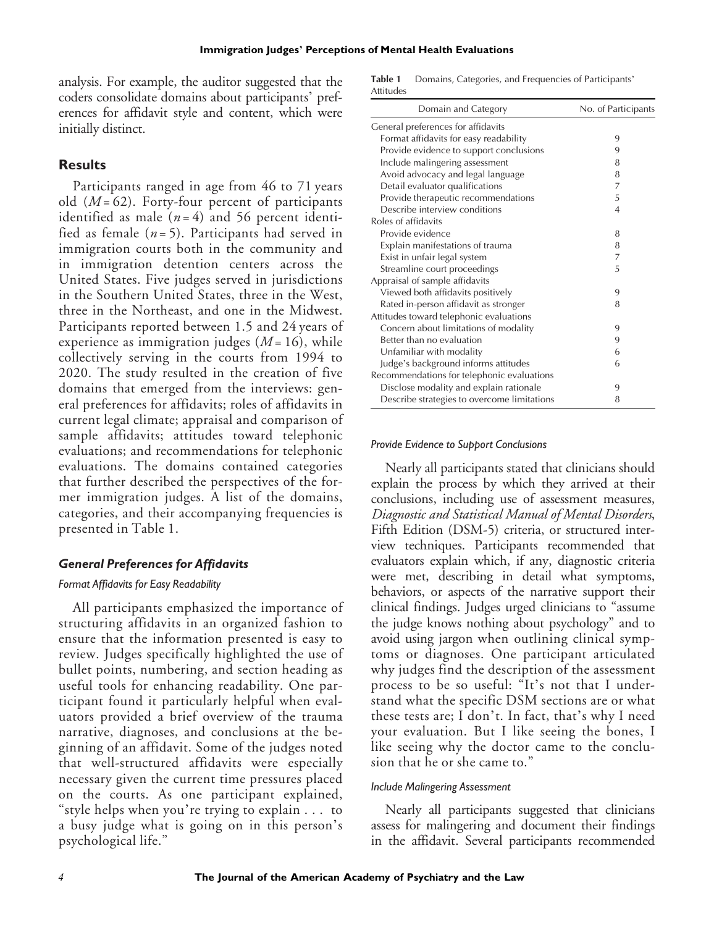analysis. For example, the auditor suggested that the coders consolidate domains about participants' preferences for affidavit style and content, which were initially distinct.

## **Results**

Participants ranged in age from 46 to 71 years old  $(M = 62)$ . Forty-four percent of participants identified as male  $(n=4)$  and 56 percent identified as female  $(n=5)$ . Participants had served in immigration courts both in the community and in immigration detention centers across the United States. Five judges served in jurisdictions in the Southern United States, three in the West, three in the Northeast, and one in the Midwest. Participants reported between 1.5 and 24 years of experience as immigration judges  $(M = 16)$ , while collectively serving in the courts from 1994 to 2020. The study resulted in the creation of five domains that emerged from the interviews: general preferences for affidavits; roles of affidavits in current legal climate; appraisal and comparison of sample affidavits; attitudes toward telephonic evaluations; and recommendations for telephonic evaluations. The domains contained categories that further described the perspectives of the former immigration judges. A list of the domains, categories, and their accompanying frequencies is presented in Table 1.

## *General Preferences for Affidavits*

#### *Format Affidavits for Easy Readability*

All participants emphasized the importance of structuring affidavits in an organized fashion to ensure that the information presented is easy to review. Judges specifically highlighted the use of bullet points, numbering, and section heading as useful tools for enhancing readability. One participant found it particularly helpful when evaluators provided a brief overview of the trauma narrative, diagnoses, and conclusions at the beginning of an affidavit. Some of the judges noted that well-structured affidavits were especially necessary given the current time pressures placed on the courts. As one participant explained, "style helps when you're trying to explain . . . to a busy judge what is going on in this person's psychological life."

Table 1 Domains, Categories, and Frequencies of Participants' Attitudes

| Domain and Category                         | No. of Participants |
|---------------------------------------------|---------------------|
| General preferences for affidavits          |                     |
| Format affidavits for easy readability      | 9                   |
| Provide evidence to support conclusions     | 9                   |
| Include malingering assessment              | 8                   |
| Avoid advocacy and legal language           | 8                   |
| Detail evaluator qualifications             | 7                   |
| Provide therapeutic recommendations         | 5                   |
| Describe interview conditions               | $\overline{4}$      |
| Roles of affidavits                         |                     |
| Provide evidence                            | 8                   |
| Explain manifestations of trauma            | 8                   |
| Exist in unfair legal system                | 7                   |
| Streamline court proceedings                | 5                   |
| Appraisal of sample affidavits              |                     |
| Viewed both affidavits positively           | 9                   |
| Rated in-person affidavit as stronger       | 8                   |
| Attitudes toward telephonic evaluations     |                     |
| Concern about limitations of modality       | 9                   |
| Better than no evaluation                   | 9                   |
| Unfamiliar with modality                    | 6                   |
| Judge's background informs attitudes        | 6                   |
| Recommendations for telephonic evaluations  |                     |
| Disclose modality and explain rationale     | 9                   |
| Describe strategies to overcome limitations | 8                   |

#### *Provide Evidence to Support Conclusions*

Nearly all participants stated that clinicians should explain the process by which they arrived at their conclusions, including use of assessment measures, Diagnostic and Statistical Manual of Mental Disorders, Fifth Edition (DSM-5) criteria, or structured interview techniques. Participants recommended that evaluators explain which, if any, diagnostic criteria were met, describing in detail what symptoms, behaviors, or aspects of the narrative support their clinical findings. Judges urged clinicians to "assume the judge knows nothing about psychology" and to avoid using jargon when outlining clinical symptoms or diagnoses. One participant articulated why judges find the description of the assessment process to be so useful: "It's not that I understand what the specific DSM sections are or what these tests are; I don't. In fact, that's why I need your evaluation. But I like seeing the bones, I like seeing why the doctor came to the conclusion that he or she came to."

#### *Include Malingering Assessment*

Nearly all participants suggested that clinicians assess for malingering and document their findings in the affidavit. Several participants recommended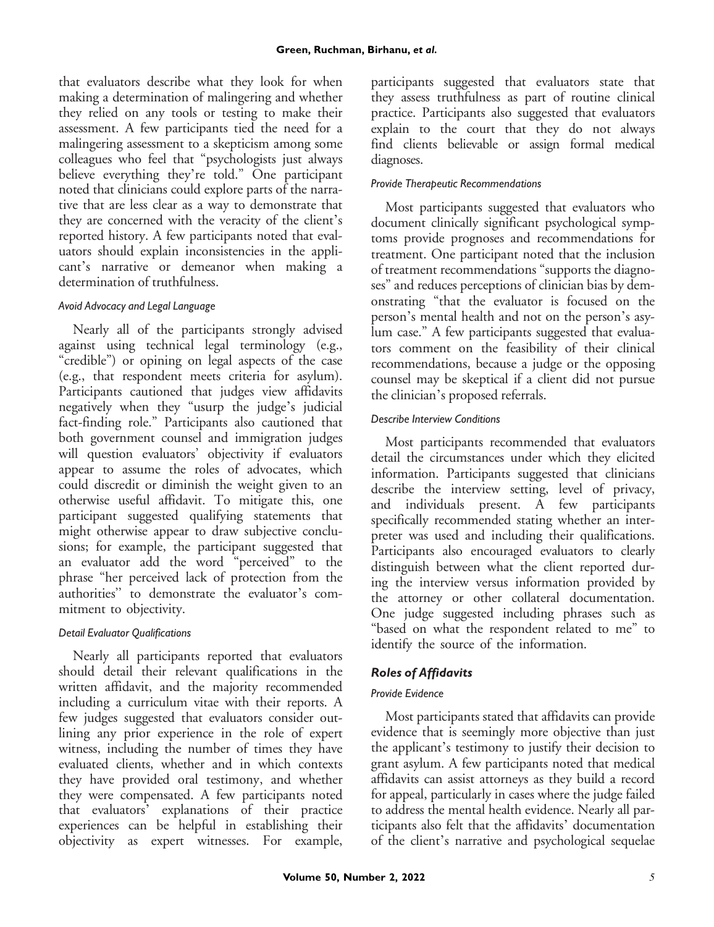that evaluators describe what they look for when making a determination of malingering and whether they relied on any tools or testing to make their assessment. A few participants tied the need for a malingering assessment to a skepticism among some colleagues who feel that "psychologists just always believe everything they're told." One participant noted that clinicians could explore parts of the narrative that are less clear as a way to demonstrate that they are concerned with the veracity of the client's reported history. A few participants noted that evaluators should explain inconsistencies in the applicant's narrative or demeanor when making a determination of truthfulness.

## *Avoid Advocacy and Legal Language*

Nearly all of the participants strongly advised against using technical legal terminology (e.g., "credible") or opining on legal aspects of the case (e.g., that respondent meets criteria for asylum). Participants cautioned that judges view affidavits negatively when they "usurp the judge's judicial fact-finding role." Participants also cautioned that both government counsel and immigration judges will question evaluators' objectivity if evaluators appear to assume the roles of advocates, which could discredit or diminish the weight given to an otherwise useful affidavit. To mitigate this, one participant suggested qualifying statements that might otherwise appear to draw subjective conclusions; for example, the participant suggested that an evaluator add the word "perceived" to the phrase "her perceived lack of protection from the authorities'' to demonstrate the evaluator's commitment to objectivity.

## *Detail Evaluator Qualifications*

Nearly all participants reported that evaluators should detail their relevant qualifications in the written affidavit, and the majority recommended including a curriculum vitae with their reports. A few judges suggested that evaluators consider outlining any prior experience in the role of expert witness, including the number of times they have evaluated clients, whether and in which contexts they have provided oral testimony, and whether they were compensated. A few participants noted that evaluators' explanations of their practice experiences can be helpful in establishing their objectivity as expert witnesses. For example,

participants suggested that evaluators state that they assess truthfulness as part of routine clinical practice. Participants also suggested that evaluators explain to the court that they do not always find clients believable or assign formal medical diagnoses.

## *Provide Therapeutic Recommendations*

Most participants suggested that evaluators who document clinically significant psychological symptoms provide prognoses and recommendations for treatment. One participant noted that the inclusion of treatment recommendations "supports the diagnoses" and reduces perceptions of clinician bias by demonstrating "that the evaluator is focused on the person's mental health and not on the person's asylum case." A few participants suggested that evaluators comment on the feasibility of their clinical recommendations, because a judge or the opposing counsel may be skeptical if a client did not pursue the clinician's proposed referrals.

#### *Describe Interview Conditions*

Most participants recommended that evaluators detail the circumstances under which they elicited information. Participants suggested that clinicians describe the interview setting, level of privacy, and individuals present. A few participants specifically recommended stating whether an interpreter was used and including their qualifications. Participants also encouraged evaluators to clearly distinguish between what the client reported during the interview versus information provided by the attorney or other collateral documentation. One judge suggested including phrases such as "based on what the respondent related to me" to identify the source of the information.

# *Roles of Affidavits*

## *Provide Evidence*

Most participants stated that affidavits can provide evidence that is seemingly more objective than just the applicant's testimony to justify their decision to grant asylum. A few participants noted that medical affidavits can assist attorneys as they build a record for appeal, particularly in cases where the judge failed to address the mental health evidence. Nearly all participants also felt that the affidavits' documentation of the client's narrative and psychological sequelae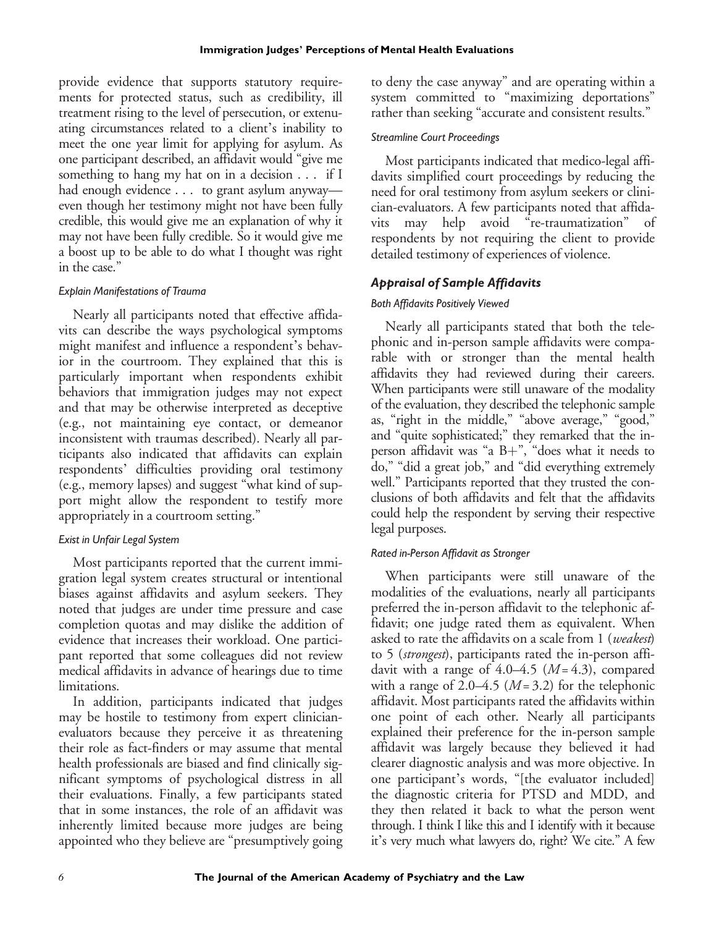provide evidence that supports statutory requirements for protected status, such as credibility, ill treatment rising to the level of persecution, or extenuating circumstances related to a client's inability to meet the one year limit for applying for asylum. As one participant described, an affidavit would "give me something to hang my hat on in a decision . . . if I had enough evidence . . . to grant asylum anyway even though her testimony might not have been fully credible, this would give me an explanation of why it may not have been fully credible. So it would give me a boost up to be able to do what I thought was right in the case."

## *Explain Manifestations of Trauma*

Nearly all participants noted that effective affidavits can describe the ways psychological symptoms might manifest and influence a respondent's behavior in the courtroom. They explained that this is particularly important when respondents exhibit behaviors that immigration judges may not expect and that may be otherwise interpreted as deceptive (e.g., not maintaining eye contact, or demeanor inconsistent with traumas described). Nearly all participants also indicated that affidavits can explain respondents' difficulties providing oral testimony (e.g., memory lapses) and suggest "what kind of support might allow the respondent to testify more appropriately in a courtroom setting."

# *Exist in Unfair Legal System*

Most participants reported that the current immigration legal system creates structural or intentional biases against affidavits and asylum seekers. They noted that judges are under time pressure and case completion quotas and may dislike the addition of evidence that increases their workload. One participant reported that some colleagues did not review medical affidavits in advance of hearings due to time limitations.

In addition, participants indicated that judges may be hostile to testimony from expert clinicianevaluators because they perceive it as threatening their role as fact-finders or may assume that mental health professionals are biased and find clinically significant symptoms of psychological distress in all their evaluations. Finally, a few participants stated that in some instances, the role of an affidavit was inherently limited because more judges are being appointed who they believe are "presumptively going

to deny the case anyway" and are operating within a system committed to "maximizing deportations" rather than seeking "accurate and consistent results."

## *Streamline Court Proceedings*

Most participants indicated that medico-legal affidavits simplified court proceedings by reducing the need for oral testimony from asylum seekers or clinician-evaluators. A few participants noted that affidavits may help avoid "re-traumatization" of respondents by not requiring the client to provide detailed testimony of experiences of violence.

# *Appraisal of Sample Affidavits*

# *Both Affidavits Positively Viewed*

Nearly all participants stated that both the telephonic and in-person sample affidavits were comparable with or stronger than the mental health affidavits they had reviewed during their careers. When participants were still unaware of the modality of the evaluation, they described the telephonic sample as, "right in the middle," "above average," "good," and "quite sophisticated;" they remarked that the inperson affidavit was "a  $B+$ ", "does what it needs to do," "did a great job," and "did everything extremely well." Participants reported that they trusted the conclusions of both affidavits and felt that the affidavits could help the respondent by serving their respective legal purposes.

# *Rated in-Person Affidavit as Stronger*

When participants were still unaware of the modalities of the evaluations, nearly all participants preferred the in-person affidavit to the telephonic affidavit; one judge rated them as equivalent. When asked to rate the affidavits on a scale from 1 (weakest) to 5 (strongest), participants rated the in-person affidavit with a range of  $4.0-4.5$  ( $M = 4.3$ ), compared with a range of 2.0–4.5 ( $M = 3.2$ ) for the telephonic affidavit. Most participants rated the affidavits within one point of each other. Nearly all participants explained their preference for the in-person sample affidavit was largely because they believed it had clearer diagnostic analysis and was more objective. In one participant's words, "[the evaluator included] the diagnostic criteria for PTSD and MDD, and they then related it back to what the person went through. I think I like this and I identify with it because it's very much what lawyers do, right? We cite." A few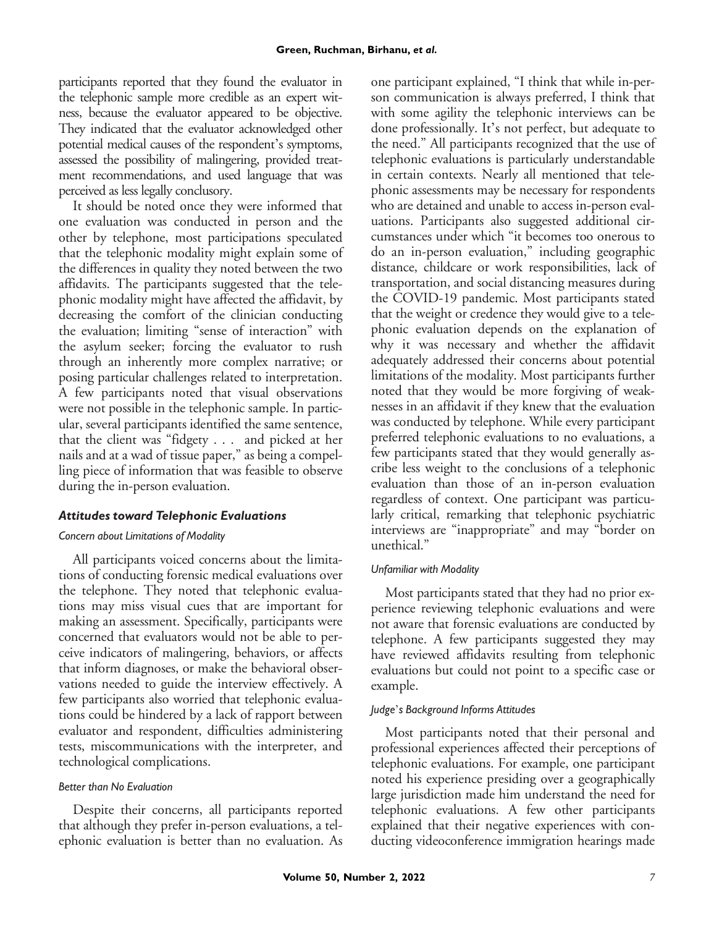participants reported that they found the evaluator in the telephonic sample more credible as an expert witness, because the evaluator appeared to be objective. They indicated that the evaluator acknowledged other potential medical causes of the respondent's symptoms, assessed the possibility of malingering, provided treatment recommendations, and used language that was perceived as less legally conclusory.

It should be noted once they were informed that one evaluation was conducted in person and the other by telephone, most participations speculated that the telephonic modality might explain some of the differences in quality they noted between the two affidavits. The participants suggested that the telephonic modality might have affected the affidavit, by decreasing the comfort of the clinician conducting the evaluation; limiting "sense of interaction" with the asylum seeker; forcing the evaluator to rush through an inherently more complex narrative; or posing particular challenges related to interpretation. A few participants noted that visual observations were not possible in the telephonic sample. In particular, several participants identified the same sentence, that the client was "fidgety . . . and picked at her nails and at a wad of tissue paper," as being a compelling piece of information that was feasible to observe during the in-person evaluation.

## *Attitudes toward Telephonic Evaluations*

#### *Concern about Limitations of Modality*

All participants voiced concerns about the limitations of conducting forensic medical evaluations over the telephone. They noted that telephonic evaluations may miss visual cues that are important for making an assessment. Specifically, participants were concerned that evaluators would not be able to perceive indicators of malingering, behaviors, or affects that inform diagnoses, or make the behavioral observations needed to guide the interview effectively. A few participants also worried that telephonic evaluations could be hindered by a lack of rapport between evaluator and respondent, difficulties administering tests, miscommunications with the interpreter, and technological complications.

#### *Better than No Evaluation*

Despite their concerns, all participants reported that although they prefer in-person evaluations, a telephonic evaluation is better than no evaluation. As

one participant explained, "I think that while in-person communication is always preferred, I think that with some agility the telephonic interviews can be done professionally. It's not perfect, but adequate to the need." All participants recognized that the use of telephonic evaluations is particularly understandable in certain contexts. Nearly all mentioned that telephonic assessments may be necessary for respondents who are detained and unable to access in-person evaluations. Participants also suggested additional circumstances under which "it becomes too onerous to do an in-person evaluation," including geographic distance, childcare or work responsibilities, lack of transportation, and social distancing measures during the COVID-19 pandemic. Most participants stated that the weight or credence they would give to a telephonic evaluation depends on the explanation of why it was necessary and whether the affidavit adequately addressed their concerns about potential limitations of the modality. Most participants further noted that they would be more forgiving of weaknesses in an affidavit if they knew that the evaluation was conducted by telephone. While every participant preferred telephonic evaluations to no evaluations, a few participants stated that they would generally ascribe less weight to the conclusions of a telephonic evaluation than those of an in-person evaluation regardless of context. One participant was particularly critical, remarking that telephonic psychiatric interviews are "inappropriate" and may "border on unethical."

#### *Unfamiliar with Modality*

Most participants stated that they had no prior experience reviewing telephonic evaluations and were not aware that forensic evaluations are conducted by telephone. A few participants suggested they may have reviewed affidavits resulting from telephonic evaluations but could not point to a specific case or example.

#### *Judge*'*s Background Informs Attitudes*

Most participants noted that their personal and professional experiences affected their perceptions of telephonic evaluations. For example, one participant noted his experience presiding over a geographically large jurisdiction made him understand the need for telephonic evaluations. A few other participants explained that their negative experiences with conducting videoconference immigration hearings made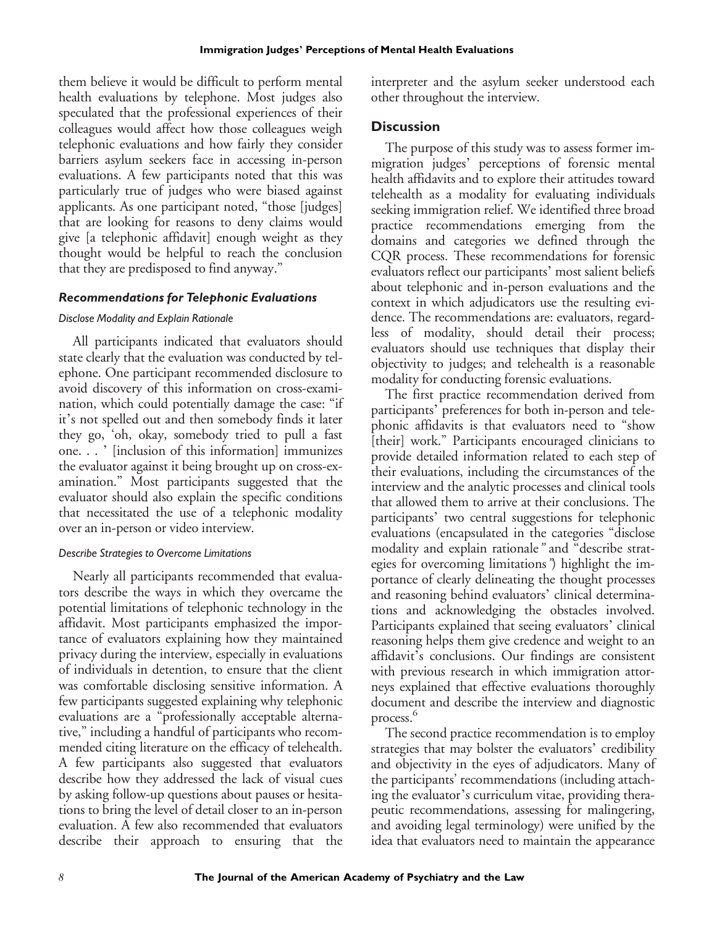them believe it would be difficult to perform mental health evaluations by telephone. Most judges also speculated that the professional experiences of their colleagues would affect how those colleagues weigh telephonic evaluations and how fairly they consider barriers asylum seekers face in accessing in-person evaluations. A few participants noted that this was particularly true of judges who were biased against applicants. As one participant noted, "those [judges] that are looking for reasons to deny claims would give [a telephonic affidavit] enough weight as they thought would be helpful to reach the conclusion that they are predisposed to find anyway."

#### *Recommendations for Telephonic Evaluations*

#### *Disclose Modality and Explain Rationale*

All participants indicated that evaluators should state clearly that the evaluation was conducted by telephone. One participant recommended disclosure to avoid discovery of this information on cross-examination, which could potentially damage the case: "if it's not spelled out and then somebody finds it later they go, 'oh, okay, somebody tried to pull a fast one. . . ' [inclusion of this information] immunizes the evaluator against it being brought up on cross-examination." Most participants suggested that the evaluator should also explain the specific conditions that necessitated the use of a telephonic modality over an in-person or video interview.

#### *Describe Strategies to Overcome Limitations*

Nearly all participants recommended that evaluators describe the ways in which they overcame the potential limitations of telephonic technology in the affidavit. Most participants emphasized the importance of evaluators explaining how they maintained privacy during the interview, especially in evaluations of individuals in detention, to ensure that the client was comfortable disclosing sensitive information. A few participants suggested explaining why telephonic evaluations are a "professionally acceptable alternative," including a handful of participants who recommended citing literature on the efficacy of telehealth. A few participants also suggested that evaluators describe how they addressed the lack of visual cues by asking follow-up questions about pauses or hesitations to bring the level of detail closer to an in-person evaluation. A few also recommended that evaluators describe their approach to ensuring that the interpreter and the asylum seeker understood each other throughout the interview.

#### **Discussion**

The purpose of this study was to assess former immigration judges' perceptions of forensic mental health affidavits and to explore their attitudes toward telehealth as a modality for evaluating individuals seeking immigration relief. We identified three broad practice recommendations emerging from the domains and categories we defined through the CQR process. These recommendations for forensic evaluators reflect our participants' most salient beliefs about telephonic and in-person evaluations and the context in which adjudicators use the resulting evidence. The recommendations are: evaluators, regardless of modality, should detail their process; evaluators should use techniques that display their objectivity to judges; and telehealth is a reasonable modality for conducting forensic evaluations.

The first practice recommendation derived from participants' preferences for both in-person and telephonic affidavits is that evaluators need to "show [their] work." Participants encouraged clinicians to provide detailed information related to each step of their evaluations, including the circumstances of the interview and the analytic processes and clinical tools that allowed them to arrive at their conclusions. The participants' two central suggestions for telephonic evaluations (encapsulated in the categories "disclose modality and explain rationale" and "describe strategies for overcoming limitations") highlight the importance of clearly delineating the thought processes and reasoning behind evaluators' clinical determinations and acknowledging the obstacles involved. Participants explained that seeing evaluators' clinical reasoning helps them give credence and weight to an affidavit's conclusions. Our findings are consistent with previous research in which immigration attorneys explained that effective evaluations thoroughly document and describe the interview and diagnostic process.<sup>6</sup>

The second practice recommendation is to employ strategies that may bolster the evaluators' credibility and objectivity in the eyes of adjudicators. Many of the participants' recommendations (including attaching the evaluator's curriculum vitae, providing therapeutic recommendations, assessing for malingering, and avoiding legal terminology) were unified by the idea that evaluators need to maintain the appearance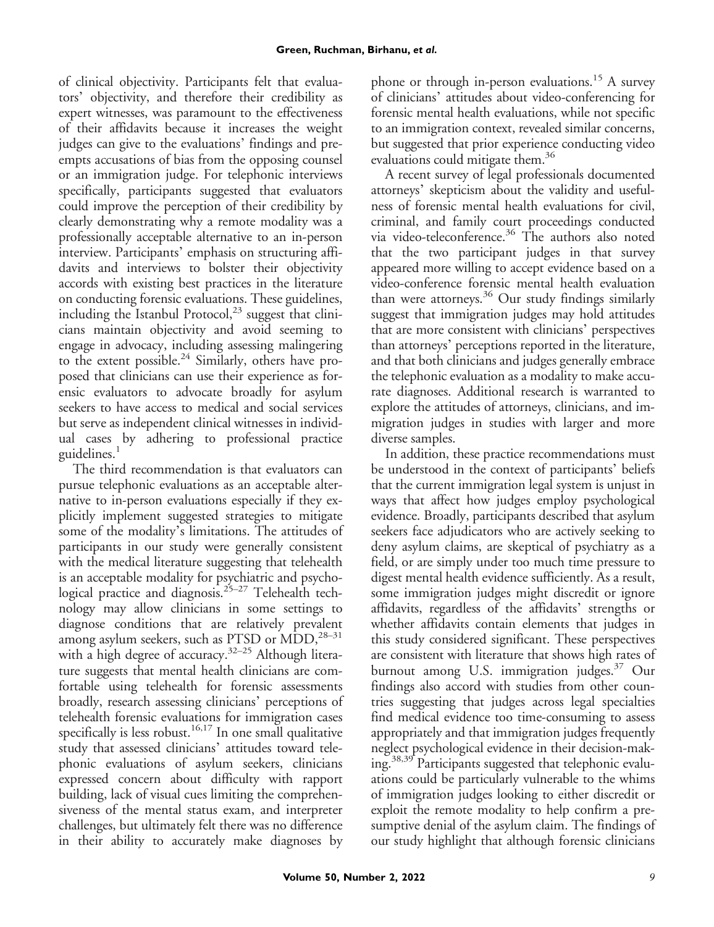of clinical objectivity. Participants felt that evaluators' objectivity, and therefore their credibility as expert witnesses, was paramount to the effectiveness of their affidavits because it increases the weight judges can give to the evaluations' findings and preempts accusations of bias from the opposing counsel or an immigration judge. For telephonic interviews specifically, participants suggested that evaluators could improve the perception of their credibility by clearly demonstrating why a remote modality was a professionally acceptable alternative to an in-person interview. Participants' emphasis on structuring affidavits and interviews to bolster their objectivity accords with existing best practices in the literature on conducting forensic evaluations. These guidelines, including the Istanbul Protocol, $^{23}$  suggest that clinicians maintain objectivity and avoid seeming to engage in advocacy, including assessing malingering to the extent possible.<sup>24</sup> Similarly, others have proposed that clinicians can use their experience as forensic evaluators to advocate broadly for asylum seekers to have access to medical and social services but serve as independent clinical witnesses in individual cases by adhering to professional practice guidelines.<sup>1</sup>

The third recommendation is that evaluators can pursue telephonic evaluations as an acceptable alternative to in-person evaluations especially if they explicitly implement suggested strategies to mitigate some of the modality's limitations. The attitudes of participants in our study were generally consistent with the medical literature suggesting that telehealth is an acceptable modality for psychiatric and psychological practice and diagnosis.<sup>25-27</sup> Telehealth technology may allow clinicians in some settings to diagnose conditions that are relatively prevalent among asylum seekers, such as PTSD or  $MDD,^{28-31}$ with a high degree of accuracy.<sup>32–25</sup> Although literature suggests that mental health clinicians are comfortable using telehealth for forensic assessments broadly, research assessing clinicians' perceptions of telehealth forensic evaluations for immigration cases specifically is less robust.<sup>16,17</sup> In one small qualitative study that assessed clinicians' attitudes toward telephonic evaluations of asylum seekers, clinicians expressed concern about difficulty with rapport building, lack of visual cues limiting the comprehensiveness of the mental status exam, and interpreter challenges, but ultimately felt there was no difference in their ability to accurately make diagnoses by phone or through in-person evaluations.<sup>15</sup> A survey of clinicians' attitudes about video-conferencing for forensic mental health evaluations, while not specific to an immigration context, revealed similar concerns, but suggested that prior experience conducting video evaluations could mitigate them.<sup>36</sup>

A recent survey of legal professionals documented attorneys' skepticism about the validity and usefulness of forensic mental health evaluations for civil, criminal, and family court proceedings conducted via video-teleconference.<sup>36</sup> The authors also noted that the two participant judges in that survey appeared more willing to accept evidence based on a video-conference forensic mental health evaluation than were attorneys.<sup>36</sup> Our study findings similarly suggest that immigration judges may hold attitudes that are more consistent with clinicians' perspectives than attorneys' perceptions reported in the literature, and that both clinicians and judges generally embrace the telephonic evaluation as a modality to make accurate diagnoses. Additional research is warranted to explore the attitudes of attorneys, clinicians, and immigration judges in studies with larger and more diverse samples.

In addition, these practice recommendations must be understood in the context of participants' beliefs that the current immigration legal system is unjust in ways that affect how judges employ psychological evidence. Broadly, participants described that asylum seekers face adjudicators who are actively seeking to deny asylum claims, are skeptical of psychiatry as a field, or are simply under too much time pressure to digest mental health evidence sufficiently. As a result, some immigration judges might discredit or ignore affidavits, regardless of the affidavits' strengths or whether affidavits contain elements that judges in this study considered significant. These perspectives are consistent with literature that shows high rates of burnout among U.S. immigration judges.<sup>37</sup> Our findings also accord with studies from other countries suggesting that judges across legal specialties find medical evidence too time-consuming to assess appropriately and that immigration judges frequently neglect psychological evidence in their decision-making.<sup>38,39</sup> Participants suggested that telephonic evaluations could be particularly vulnerable to the whims of immigration judges looking to either discredit or exploit the remote modality to help confirm a presumptive denial of the asylum claim. The findings of our study highlight that although forensic clinicians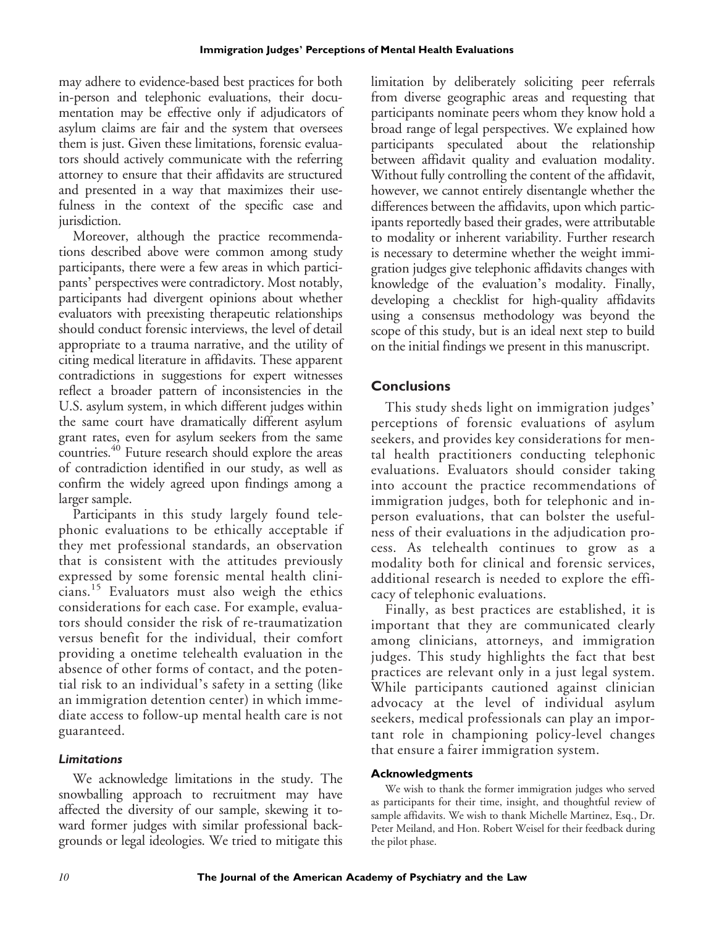may adhere to evidence-based best practices for both in-person and telephonic evaluations, their documentation may be effective only if adjudicators of asylum claims are fair and the system that oversees them is just. Given these limitations, forensic evaluators should actively communicate with the referring attorney to ensure that their affidavits are structured and presented in a way that maximizes their usefulness in the context of the specific case and jurisdiction.

Moreover, although the practice recommendations described above were common among study participants, there were a few areas in which participants' perspectives were contradictory. Most notably, participants had divergent opinions about whether evaluators with preexisting therapeutic relationships should conduct forensic interviews, the level of detail appropriate to a trauma narrative, and the utility of citing medical literature in affidavits. These apparent contradictions in suggestions for expert witnesses reflect a broader pattern of inconsistencies in the U.S. asylum system, in which different judges within the same court have dramatically different asylum grant rates, even for asylum seekers from the same countries.40 Future research should explore the areas of contradiction identified in our study, as well as confirm the widely agreed upon findings among a larger sample.

Participants in this study largely found telephonic evaluations to be ethically acceptable if they met professional standards, an observation that is consistent with the attitudes previously expressed by some forensic mental health clinicians.<sup>15</sup> Evaluators must also weigh the ethics considerations for each case. For example, evaluators should consider the risk of re-traumatization versus benefit for the individual, their comfort providing a onetime telehealth evaluation in the absence of other forms of contact, and the potential risk to an individual's safety in a setting (like an immigration detention center) in which immediate access to follow-up mental health care is not guaranteed.

#### *Limitations*

We acknowledge limitations in the study. The snowballing approach to recruitment may have affected the diversity of our sample, skewing it toward former judges with similar professional backgrounds or legal ideologies. We tried to mitigate this limitation by deliberately soliciting peer referrals from diverse geographic areas and requesting that participants nominate peers whom they know hold a broad range of legal perspectives. We explained how participants speculated about the relationship between affidavit quality and evaluation modality. Without fully controlling the content of the affidavit, however, we cannot entirely disentangle whether the differences between the affidavits, upon which participants reportedly based their grades, were attributable to modality or inherent variability. Further research is necessary to determine whether the weight immigration judges give telephonic affidavits changes with knowledge of the evaluation's modality. Finally, developing a checklist for high-quality affidavits using a consensus methodology was beyond the scope of this study, but is an ideal next step to build on the initial findings we present in this manuscript.

## **Conclusions**

This study sheds light on immigration judges' perceptions of forensic evaluations of asylum seekers, and provides key considerations for mental health practitioners conducting telephonic evaluations. Evaluators should consider taking into account the practice recommendations of immigration judges, both for telephonic and inperson evaluations, that can bolster the usefulness of their evaluations in the adjudication process. As telehealth continues to grow as a modality both for clinical and forensic services, additional research is needed to explore the efficacy of telephonic evaluations.

Finally, as best practices are established, it is important that they are communicated clearly among clinicians, attorneys, and immigration judges. This study highlights the fact that best practices are relevant only in a just legal system. While participants cautioned against clinician advocacy at the level of individual asylum seekers, medical professionals can play an important role in championing policy-level changes that ensure a fairer immigration system.

#### **Acknowledgments**

We wish to thank the former immigration judges who served as participants for their time, insight, and thoughtful review of sample affidavits. We wish to thank Michelle Martinez, Esq., Dr. Peter Meiland, and Hon. Robert Weisel for their feedback during the pilot phase.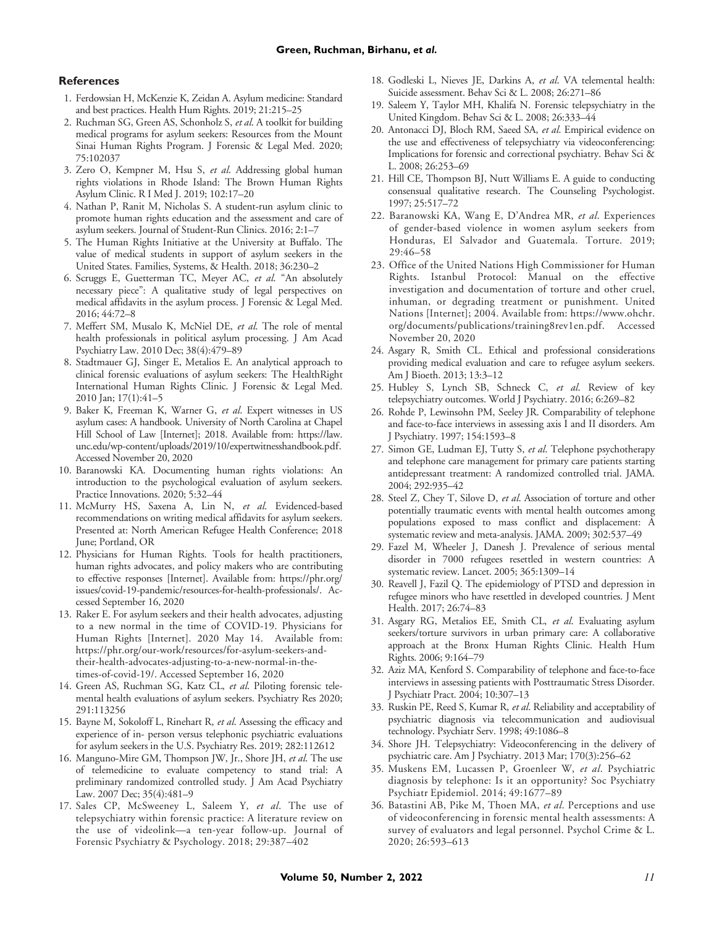#### **References**

- 1. Ferdowsian H, McKenzie K, Zeidan A. Asylum medicine: Standard and best practices. Health Hum Rights. 2019; 21:215–25
- 2. Ruchman SG, Green AS, Schonholz S, et al. A toolkit for building medical programs for asylum seekers: Resources from the Mount Sinai Human Rights Program. J Forensic & Legal Med. 2020; 75:102037
- 3. Zero O, Kempner M, Hsu S, et al. Addressing global human rights violations in Rhode Island: The Brown Human Rights Asylum Clinic. R I Med J. 2019; 102:17–20
- 4. Nathan P, Ranit M, Nicholas S. A student-run asylum clinic to promote human rights education and the assessment and care of asylum seekers. Journal of Student-Run Clinics. 2016; 2:1–7
- 5. The Human Rights Initiative at the University at Buffalo. The value of medical students in support of asylum seekers in the United States. Families, Systems, & Health. 2018; 36:230–2
- 6. Scruggs E, Guetterman TC, Meyer AC, et al. "An absolutely necessary piece": A qualitative study of legal perspectives on medical affidavits in the asylum process. J Forensic & Legal Med. 2016; 44:72–8
- 7. Meffert SM, Musalo K, McNiel DE, et al. The role of mental health professionals in political asylum processing. J Am Acad Psychiatry Law. 2010 Dec; 38(4):479–89
- 8. Stadtmauer GJ, Singer E, Metalios E. An analytical approach to clinical forensic evaluations of asylum seekers: The HealthRight International Human Rights Clinic. J Forensic & Legal Med. 2010 Jan; 17(1):41–5
- 9. Baker K, Freeman K, Warner G, et al. Expert witnesses in US asylum cases: A handbook. University of North Carolina at Chapel Hill School of Law [Internet]; 2018. Available from: [https://law.](https://law.unc.edu/wp-content/uploads/2019/10/expertwitnesshandbook.pdf) [unc.edu/wp-content/uploads/2019/10/expertwitnesshandbook.pdf](https://law.unc.edu/wp-content/uploads/2019/10/expertwitnesshandbook.pdf). Accessed November 20, 2020
- 10. Baranowski KA. Documenting human rights violations: An introduction to the psychological evaluation of asylum seekers. Practice Innovations. 2020; 5:32–44
- 11. McMurry HS, Saxena A, Lin N, et al. Evidenced-based recommendations on writing medical affidavits for asylum seekers. Presented at: North American Refugee Health Conference; 2018 June; Portland, OR
- 12. Physicians for Human Rights. Tools for health practitioners, human rights advocates, and policy makers who are contributing to effective responses [Internet]. Available from: [https://phr.org/](https://phr.org/issues/covid-19-pandemic/resources-for-health-professionals/) [issues/covid-19-pandemic/resources-for-health-professionals/.](https://phr.org/issues/covid-19-pandemic/resources-for-health-professionals/) Accessed September 16, 2020
- 13. Raker E. For asylum seekers and their health advocates, adjusting to a new normal in the time of COVID-19. Physicians for Human Rights [Internet]. 2020 May 14. Available from: [https://phr.org/our-work/resources/for-asylum-seekers-and](https://phr.org/our-work/resources/for-asylum-seekers-and-their-health-advocates-adjusting-to-a-new-normal-in-the-times-of-covid-19/)[their-health-advocates-adjusting-to-a-new-normal-in-the](https://phr.org/our-work/resources/for-asylum-seekers-and-their-health-advocates-adjusting-to-a-new-normal-in-the-times-of-covid-19/)[times-of-covid-19/.](https://phr.org/our-work/resources/for-asylum-seekers-and-their-health-advocates-adjusting-to-a-new-normal-in-the-times-of-covid-19/) Accessed September 16, 2020
- 14. Green AS, Ruchman SG, Katz CL, et al. Piloting forensic telemental health evaluations of asylum seekers. Psychiatry Res 2020; 291:113256
- 15. Bayne M, Sokoloff L, Rinehart R, et al. Assessing the efficacy and experience of in- person versus telephonic psychiatric evaluations for asylum seekers in the U.S. Psychiatry Res. 2019; 282:112612
- 16. Manguno-Mire GM, Thompson JW, Jr., Shore JH, et al. The use of telemedicine to evaluate competency to stand trial: A preliminary randomized controlled study. J Am Acad Psychiatry Law. 2007 Dec; 35(4):481–9
- 17. Sales CP, McSweeney L, Saleem Y, et al. The use of telepsychiatry within forensic practice: A literature review on the use of videolink—a ten-year follow-up. Journal of Forensic Psychiatry & Psychology. 2018; 29:387–402
- 18. Godleski L, Nieves JE, Darkins A, et al. VA telemental health: Suicide assessment. Behav Sci & L. 2008; 26:271–86
- 19. Saleem Y, Taylor MH, Khalifa N. Forensic telepsychiatry in the United Kingdom. Behav Sci & L. 2008; 26:333–44
- 20. Antonacci DJ, Bloch RM, Saeed SA, et al. Empirical evidence on the use and effectiveness of telepsychiatry via videoconferencing: Implications for forensic and correctional psychiatry. Behav Sci & L. 2008; 26:253–69
- 21. Hill CE, Thompson BJ, Nutt Williams E. A guide to conducting consensual qualitative research. The Counseling Psychologist. 1997; 25:517–72
- 22. Baranowski KA, Wang E, D'Andrea MR, et al. Experiences of gender-based violence in women asylum seekers from Honduras, El Salvador and Guatemala. Torture. 2019; 29:46–58
- 23. Office of the United Nations High Commissioner for Human Rights. Istanbul Protocol: Manual on the effective investigation and documentation of torture and other cruel, inhuman, or degrading treatment or punishment. United Nations [Internet]; 2004. Available from: [https://www.ohchr.](https://www.ohchr.org/documents/publications/training8rev1en.pdf) [org/documents/publications/training8rev1en.pdf.](https://www.ohchr.org/documents/publications/training8rev1en.pdf) Accessed November 20, 2020
- 24. Asgary R, Smith CL. Ethical and professional considerations providing medical evaluation and care to refugee asylum seekers. Am J Bioeth. 2013; 13:3–12
- 25. Hubley S, Lynch SB, Schneck C, et al. Review of key telepsychiatry outcomes. World J Psychiatry. 2016; 6:269–82
- 26. Rohde P, Lewinsohn PM, Seeley JR. Comparability of telephone and face-to-face interviews in assessing axis I and II disorders. Am J Psychiatry. 1997; 154:1593–8
- 27. Simon GE, Ludman EJ, Tutty S, et al. Telephone psychotherapy and telephone care management for primary care patients starting antidepressant treatment: A randomized controlled trial. JAMA. 2004; 292:935–42
- 28. Steel Z, Chey T, Silove D, et al. Association of torture and other potentially traumatic events with mental health outcomes among populations exposed to mass conflict and displacement: A systematic review and meta-analysis. JAMA. 2009; 302:537–49
- 29. Fazel M, Wheeler J, Danesh J. Prevalence of serious mental disorder in 7000 refugees resettled in western countries: A systematic review. Lancet. 2005; 365:1309–14
- 30. Reavell J, Fazil Q. The epidemiology of PTSD and depression in refugee minors who have resettled in developed countries. J Ment Health. 2017; 26:74–83
- 31. Asgary RG, Metalios EE, Smith CL, et al. Evaluating asylum seekers/torture survivors in urban primary care: A collaborative approach at the Bronx Human Rights Clinic. Health Hum Rights. 2006; 9:164–79
- 32. Aziz MA, Kenford S. Comparability of telephone and face-to-face interviews in assessing patients with Posttraumatic Stress Disorder. J Psychiatr Pract. 2004; 10:307–13
- 33. Ruskin PE, Reed S, Kumar R, et al. Reliability and acceptability of psychiatric diagnosis via telecommunication and audiovisual technology. Psychiatr Serv. 1998; 49:1086–8
- 34. Shore JH. Telepsychiatry: Videoconferencing in the delivery of psychiatric care. Am J Psychiatry. 2013 Mar; 170(3):256–62
- 35. Muskens EM, Lucassen P, Groenleer W, et al. Psychiatric diagnosis by telephone: Is it an opportunity? Soc Psychiatry Psychiatr Epidemiol. 2014; 49:1677–89
- 36. Batastini AB, Pike M, Thoen MA, et al. Perceptions and use of videoconferencing in forensic mental health assessments: A survey of evaluators and legal personnel. Psychol Crime & L. 2020; 26:593–613